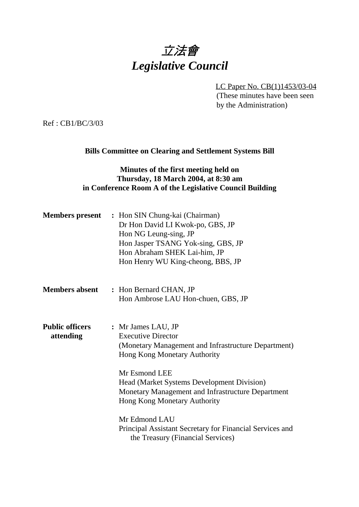# 立法會 *Legislative Council*

LC Paper No. CB(1)1453/03-04 (These minutes have been seen by the Administration)

Ref : CB1/BC/3/03

#### **Bills Committee on Clearing and Settlement Systems Bill**

#### **Minutes of the first meeting held on Thursday, 18 March 2004, at 8:30 am in Conference Room A of the Legislative Council Building**

|                                     | <b>Members present</b> : Hon SIN Chung-kai (Chairman)<br>Dr Hon David LI Kwok-po, GBS, JP<br>Hon NG Leung-sing, JP<br>Hon Jasper TSANG Yok-sing, GBS, JP<br>Hon Abraham SHEK Lai-him, JP<br>Hon Henry WU King-cheong, BBS, JP                                                                            |
|-------------------------------------|----------------------------------------------------------------------------------------------------------------------------------------------------------------------------------------------------------------------------------------------------------------------------------------------------------|
| <b>Members absent</b>               | : Hon Bernard CHAN, JP<br>Hon Ambrose LAU Hon-chuen, GBS, JP                                                                                                                                                                                                                                             |
| <b>Public officers</b><br>attending | : Mr James LAU, JP<br><b>Executive Director</b><br>(Monetary Management and Infrastructure Department)<br><b>Hong Kong Monetary Authority</b><br>Mr Esmond LEE<br><b>Head (Market Systems Development Division)</b><br>Monetary Management and Infrastructure Department<br>Hong Kong Monetary Authority |
|                                     | Mr Edmond LAU<br>Principal Assistant Secretary for Financial Services and<br>the Treasury (Financial Services)                                                                                                                                                                                           |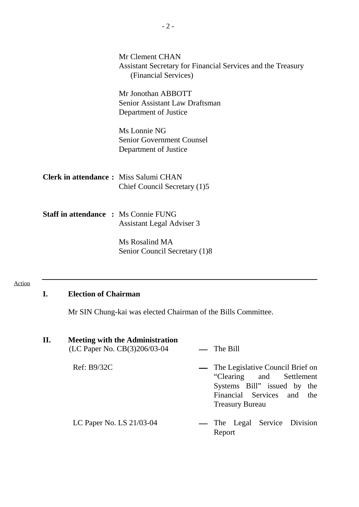|                                              | Mr Clement CHAN<br>Assistant Secretary for Financial Services and the Treasury<br>(Financial Services) |  |
|----------------------------------------------|--------------------------------------------------------------------------------------------------------|--|
|                                              | Mr Jonothan ABBOTT<br>Senior Assistant Law Draftsman<br>Department of Justice                          |  |
|                                              | Ms Lonnie NG<br><b>Senior Government Counsel</b><br>Department of Justice                              |  |
| <b>Clerk in attendance:</b> Miss Salumi CHAN | Chief Council Secretary (1)5                                                                           |  |
| <b>Staff in attendance : Ms Connie FUNG</b>  | <b>Assistant Legal Adviser 3</b>                                                                       |  |
|                                              | Ms Rosalind MA<br>Senior Council Secretary (1)8                                                        |  |

#### Action

## **I. Election of Chairman**

Mr SIN Chung-kai was elected Chairman of the Bills Committee.

| Η. | <b>Meeting with the Administration</b><br>(LC Paper No. CB(3)206/03-04 | $\equiv$ The Bill                                                                                                                                      |
|----|------------------------------------------------------------------------|--------------------------------------------------------------------------------------------------------------------------------------------------------|
|    | Ref: B9/32C                                                            | — The Legislative Council Brief on<br>"Clearing and Settlement"<br>Systems Bill" issued by the<br>Financial Services and the<br><b>Treasury Bureau</b> |
|    | LC Paper No. LS 21/03-04                                               | — The Legal Service Division<br>Report                                                                                                                 |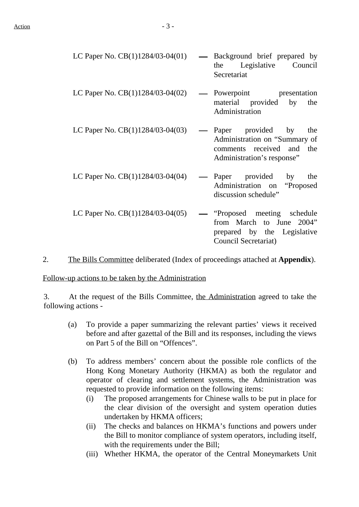| LC Paper No. CB(1)1284/03-04(01)   | — Background brief prepared by<br>Legislative Council<br>the<br>Secretariat                                               |
|------------------------------------|---------------------------------------------------------------------------------------------------------------------------|
| LC Paper No. $CB(1)1284/03-04(02)$ | - Powerpoint presentation<br>material provided<br>by<br>the<br>Administration                                             |
| LC Paper No. $CB(1)1284/03-04(03)$ | — Paper provided by<br>the<br>Administration on "Summary of<br>comments received and<br>the<br>Administration's response" |
| LC Paper No. $CB(1)1284/03-04(04)$ | — Paper provided by<br>the<br>Administration on "Proposed<br>discussion schedule"                                         |
| LC Paper No. $CB(1)1284/03-04(05)$ | — "Proposed meeting schedule"<br>from March to June 2004"<br>prepared by the Legislative<br>Council Secretariat)          |

2. The Bills Committee deliberated (Index of proceedings attached at **Appendix**).

Follow-up actions to be taken by the Administration

3. At the request of the Bills Committee, the Administration agreed to take the following actions -

- (a) To provide a paper summarizing the relevant parties' views it received before and after gazettal of the Bill and its responses, including the views on Part 5 of the Bill on "Offences".
- (b) To address members' concern about the possible role conflicts of the Hong Kong Monetary Authority (HKMA) as both the regulator and operator of clearing and settlement systems, the Administration was requested to provide information on the following items:
	- (i) The proposed arrangements for Chinese walls to be put in place for the clear division of the oversight and system operation duties undertaken by HKMA officers;
	- (ii) The checks and balances on HKMA's functions and powers under the Bill to monitor compliance of system operators, including itself, with the requirements under the Bill;
	- (iii) Whether HKMA, the operator of the Central Moneymarkets Unit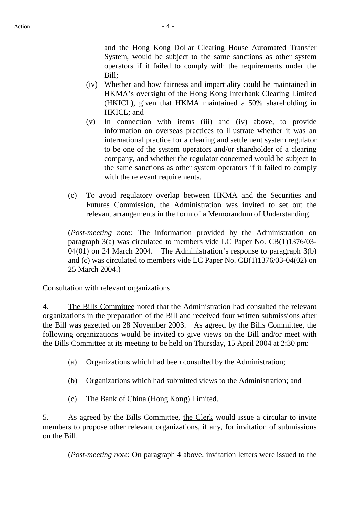and the Hong Kong Dollar Clearing House Automated Transfer System, would be subject to the same sanctions as other system operators if it failed to comply with the requirements under the Bill;

- (iv) Whether and how fairness and impartiality could be maintained in HKMA's oversight of the Hong Kong Interbank Clearing Limited (HKICL), given that HKMA maintained a 50% shareholding in HKICL; and
- (v) In connection with items (iii) and (iv) above, to provide information on overseas practices to illustrate whether it was an international practice for a clearing and settlement system regulator to be one of the system operators and/or shareholder of a clearing company, and whether the regulator concerned would be subject to the same sanctions as other system operators if it failed to comply with the relevant requirements.
- (c) To avoid regulatory overlap between HKMA and the Securities and Futures Commission, the Administration was invited to set out the relevant arrangements in the form of a Memorandum of Understanding.

(*Post-meeting note:* The information provided by the Administration on paragraph 3(a) was circulated to members vide LC Paper No. CB(1)1376/03- 04(01) on 24 March 2004. The Administration's response to paragraph 3(b) and (c) was circulated to members vide LC Paper No. CB(1)1376/03-04(02) on 25 March 2004.)

#### Consultation with relevant organizations

4. The Bills Committee noted that the Administration had consulted the relevant organizations in the preparation of the Bill and received four written submissions after the Bill was gazetted on 28 November 2003. As agreed by the Bills Committee, the following organizations would be invited to give views on the Bill and/or meet with the Bills Committee at its meeting to be held on Thursday, 15 April 2004 at 2:30 pm:

- (a) Organizations which had been consulted by the Administration;
- (b) Organizations which had submitted views to the Administration; and
- (c) The Bank of China (Hong Kong) Limited.

5. As agreed by the Bills Committee, the Clerk would issue a circular to invite members to propose other relevant organizations, if any, for invitation of submissions on the Bill.

(*Post-meeting note*: On paragraph 4 above, invitation letters were issued to the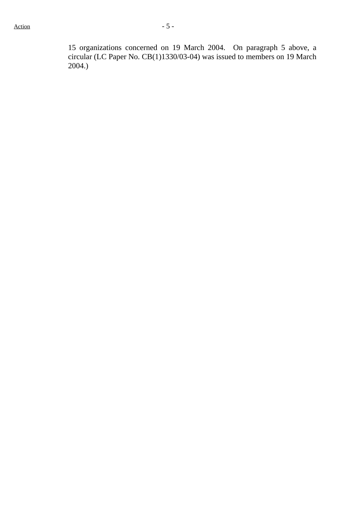15 organizations concerned on 19 March 2004. On paragraph 5 above, a circular (LC Paper No. CB(1)1330/03-04) was issued to members on 19 March 2004.)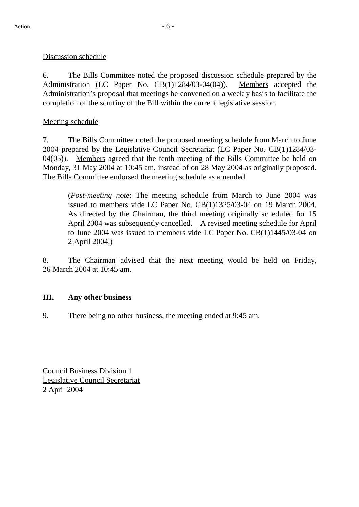#### Discussion schedule

6. The Bills Committee noted the proposed discussion schedule prepared by the Administration (LC Paper No. CB(1)1284/03-04(04)). Members accepted the Administration's proposal that meetings be convened on a weekly basis to facilitate the completion of the scrutiny of the Bill within the current legislative session.

#### Meeting schedule

7. The Bills Committee noted the proposed meeting schedule from March to June 2004 prepared by the Legislative Council Secretariat (LC Paper No. CB(1)1284/03- 04(05)). Members agreed that the tenth meeting of the Bills Committee be held on Monday, 31 May 2004 at 10:45 am, instead of on 28 May 2004 as originally proposed. The Bills Committee endorsed the meeting schedule as amended.

(*Post-meeting note*: The meeting schedule from March to June 2004 was issued to members vide LC Paper No. CB(1)1325/03-04 on 19 March 2004. As directed by the Chairman, the third meeting originally scheduled for 15 April 2004 was subsequently cancelled. A revised meeting schedule for April to June 2004 was issued to members vide LC Paper No. CB(1)1445/03-04 on 2 April 2004.)

8. The Chairman advised that the next meeting would be held on Friday, 26 March 2004 at 10:45 am.

#### **III. Any other business**

9. There being no other business, the meeting ended at 9:45 am.

Council Business Division 1 Legislative Council Secretariat 2 April 2004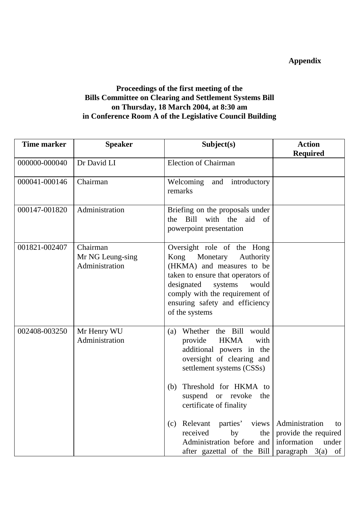## **Appendix**

### **Proceedings of the first meeting of the Bills Committee on Clearing and Settlement Systems Bill on Thursday, 18 March 2004, at 8:30 am in Conference Room A of the Legislative Council Building**

| <b>Time marker</b> | <b>Speaker</b>                                 | Subject(s)                                                                                                                                                                                                                                                                                                                                                               | <b>Action</b>                                                                                        |
|--------------------|------------------------------------------------|--------------------------------------------------------------------------------------------------------------------------------------------------------------------------------------------------------------------------------------------------------------------------------------------------------------------------------------------------------------------------|------------------------------------------------------------------------------------------------------|
|                    |                                                |                                                                                                                                                                                                                                                                                                                                                                          | <b>Required</b>                                                                                      |
| 000000-000040      | Dr David LI                                    | <b>Election of Chairman</b>                                                                                                                                                                                                                                                                                                                                              |                                                                                                      |
| 000041-000146      | Chairman                                       | Welcoming<br>and introductory<br>remarks                                                                                                                                                                                                                                                                                                                                 |                                                                                                      |
| 000147-001820      | Administration                                 | Briefing on the proposals under<br>Bill<br>with<br>the<br>aid<br>of<br>the<br>powerpoint presentation                                                                                                                                                                                                                                                                    |                                                                                                      |
| 001821-002407      | Chairman<br>Mr NG Leung-sing<br>Administration | Oversight role of the Hong<br>Kong Monetary<br>Authority<br>(HKMA) and measures to be<br>taken to ensure that operators of<br>designated<br>systems<br>would<br>comply with the requirement of<br>ensuring safety and efficiency<br>of the systems                                                                                                                       |                                                                                                      |
| 002408-003250      | Mr Henry WU<br>Administration                  | Whether the Bill would<br>(a)<br>provide<br><b>HKMA</b><br>with<br>additional powers in the<br>oversight of clearing and<br>settlement systems (CSSs)<br>Threshold for HKMA to<br>(b)<br>suspend or revoke<br>the<br>certificate of finality<br>Relevant<br>parties'<br>views<br>(c)<br>received<br>by<br>the<br>Administration before and<br>after gazettal of the Bill | Administration<br>to<br>provide the required<br>information<br>under<br>paragraph $3(a)$<br>$\sigma$ |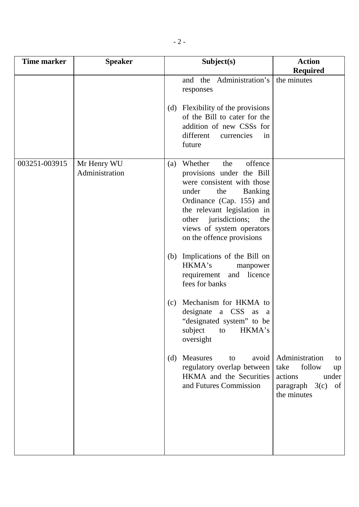| Time marker   | <b>Speaker</b>                |     | Subject(s)                                                                                                                                                                                                                                                                 | <b>Action</b><br><b>Required</b>                                                                          |
|---------------|-------------------------------|-----|----------------------------------------------------------------------------------------------------------------------------------------------------------------------------------------------------------------------------------------------------------------------------|-----------------------------------------------------------------------------------------------------------|
|               |                               |     | and the Administration's<br>responses<br>(d) Flexibility of the provisions<br>of the Bill to cater for the<br>addition of new CSSs for<br>different<br>currencies<br>in<br>future                                                                                          | the minutes                                                                                               |
| 003251-003915 | Mr Henry WU<br>Administration | (a) | offence<br>Whether<br>the<br>provisions under the Bill<br>were consistent with those<br><b>Banking</b><br>under<br>the<br>Ordinance (Cap. 155) and<br>the relevant legislation in<br>other jurisdictions;<br>the<br>views of system operators<br>on the offence provisions |                                                                                                           |
|               |                               |     | (b) Implications of the Bill on<br>HKMA's<br>manpower<br>requirement and licence<br>fees for banks                                                                                                                                                                         |                                                                                                           |
|               |                               | (c) | Mechanism for HKMA to<br>designate a CSS as a<br>"designated system" to be<br>subject<br>HKMA's<br>to<br>oversight                                                                                                                                                         |                                                                                                           |
|               |                               | (d) | Measures<br>avoid<br>to<br>regulatory overlap between<br>HKMA and the Securities<br>and Futures Commission                                                                                                                                                                 | Administration<br>to<br>take<br>follow<br>up<br>actions<br>under<br>paragraph $3(c)$<br>of<br>the minutes |
|               |                               |     |                                                                                                                                                                                                                                                                            |                                                                                                           |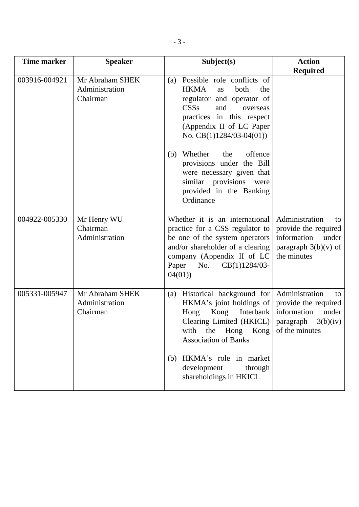| <b>Time marker</b> | <b>Speaker</b>                                | Subject(s)                                                                                                                                                                                                                                    | <b>Action</b>                                                                                                   |
|--------------------|-----------------------------------------------|-----------------------------------------------------------------------------------------------------------------------------------------------------------------------------------------------------------------------------------------------|-----------------------------------------------------------------------------------------------------------------|
|                    |                                               |                                                                                                                                                                                                                                               | <b>Required</b>                                                                                                 |
| 003916-004921      | Mr Abraham SHEK<br>Administration<br>Chairman | Possible role conflicts of<br>(a)<br><b>HKMA</b><br>both<br>the<br>as<br>regulator and operator of<br>CSSs<br>and<br>overseas<br>practices in this respect<br>(Appendix II of LC Paper<br>No. $CB(1)1284/03-04(01))$                          |                                                                                                                 |
|                    |                                               | offence<br>Whether<br>the<br>(b)<br>provisions under the Bill<br>were necessary given that<br>similar provisions<br>were<br>provided in the Banking<br>Ordinance                                                                              |                                                                                                                 |
| 004922-005330      | Mr Henry WU<br>Chairman<br>Administration     | Whether it is an international<br>practice for a CSS regulator to<br>be one of the system operators<br>and/or shareholder of a clearing<br>company (Appendix II of LC<br>Paper<br>$CB(1)1284/03$ -<br>No.<br>04(01)                           | Administration<br>to<br>provide the required<br>information<br>under<br>paragraph $3(b)(v)$ of<br>the minutes   |
| 005331-005947      | Mr Abraham SHEK<br>Administration<br>Chairman | Historical background for<br>(a)<br>HKMA's joint holdings of<br>Kong<br>Interbank<br>Hong<br>Clearing Limited (HKICL)<br>Hong<br>Kong<br>with<br>the<br><b>Association of Banks</b><br>HKMA's role in market<br>(b)<br>development<br>through | Administration<br>to<br>provide the required<br>information<br>under<br>3(b)(iv)<br>paragraph<br>of the minutes |
|                    |                                               | shareholdings in HKICL                                                                                                                                                                                                                        |                                                                                                                 |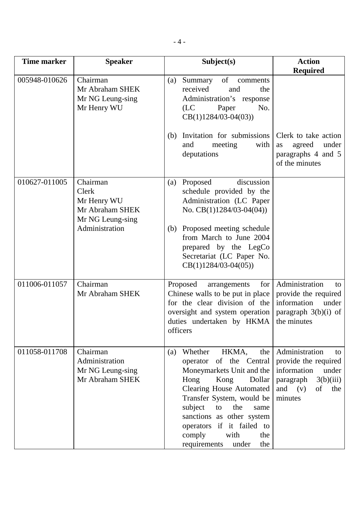| <b>Time marker</b> | <b>Speaker</b>                                                          | Subject(s)                                                                                                                                                                                                                                                                                                                          | <b>Action</b><br><b>Required</b>                                                                                                         |
|--------------------|-------------------------------------------------------------------------|-------------------------------------------------------------------------------------------------------------------------------------------------------------------------------------------------------------------------------------------------------------------------------------------------------------------------------------|------------------------------------------------------------------------------------------------------------------------------------------|
| 005948-010626      | Chairman<br>Mr Abraham SHEK<br>Mr NG Leung-sing<br>Mr Henry WU          | of<br>Summary<br>comments<br>(a)<br>received<br>and<br>the<br>Administration's response<br>(LC)<br>No.<br>Paper<br>$CB(1)1284/03-04(03))$                                                                                                                                                                                           |                                                                                                                                          |
|                    |                                                                         | Invitation for submissions<br>(b)<br>with<br>and<br>meeting<br>deputations                                                                                                                                                                                                                                                          | Clerk to take action<br>under<br>agreed<br>as<br>paragraphs 4 and 5<br>of the minutes                                                    |
| 010627-011005      | Chairman<br>Clerk<br>Mr Henry WU<br>Mr Abraham SHEK<br>Mr NG Leung-sing | discussion<br>Proposed<br>(a)<br>schedule provided by the<br>Administration (LC Paper<br>No. $CB(1)1284/03-04(04))$                                                                                                                                                                                                                 |                                                                                                                                          |
|                    | Administration                                                          | Proposed meeting schedule<br>(b)<br>from March to June 2004<br>prepared by the LegCo<br>Secretariat (LC Paper No.<br>$CB(1)1284/03-04(05))$                                                                                                                                                                                         |                                                                                                                                          |
| 011006-011057      | Chairman<br>Mr Abraham SHEK                                             | for<br>Proposed<br>arrangements<br>Chinese walls to be put in place<br>for the clear division of the<br>oversight and system operation<br>duties undertaken by HKMA<br>officers                                                                                                                                                     | Administration<br>to<br>provide the required<br>information<br>under<br>paragraph $3(b)(i)$ of<br>the minutes                            |
| 011058-011708      | Chairman<br>Administration<br>Mr NG Leung-sing<br>Mr Abraham SHEK       | HKMA,<br>Whether<br>the<br>(a)<br>operator of the Central<br>Moneymarkets Unit and the<br>Hong<br>Kong<br>Dollar<br><b>Clearing House Automated</b><br>Transfer System, would be<br>subject<br>to<br>the<br>same<br>sanctions as other system<br>operators if it failed to<br>with<br>comply<br>the<br>requirements<br>the<br>under | Administration<br>to<br>provide the required<br>information<br>under<br>$paragraph \quad 3(b)(iii)$<br>and $(v)$<br>of<br>the<br>minutes |